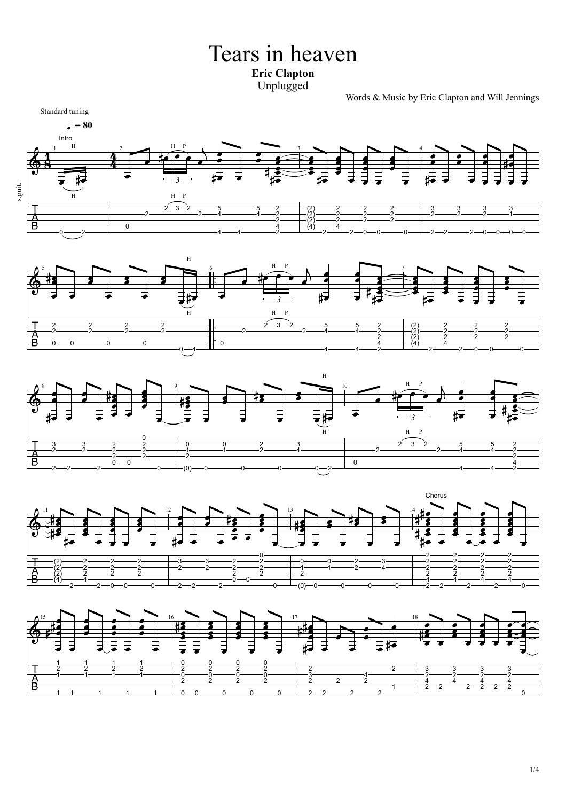Tears in heaven **Eric Clapton** Unplugged

Words & Music by Eric Clapton and Will Jennings









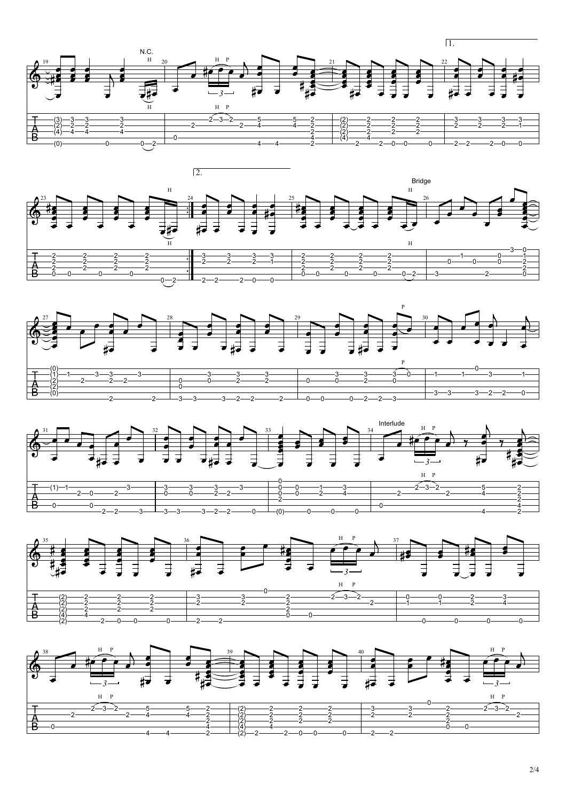









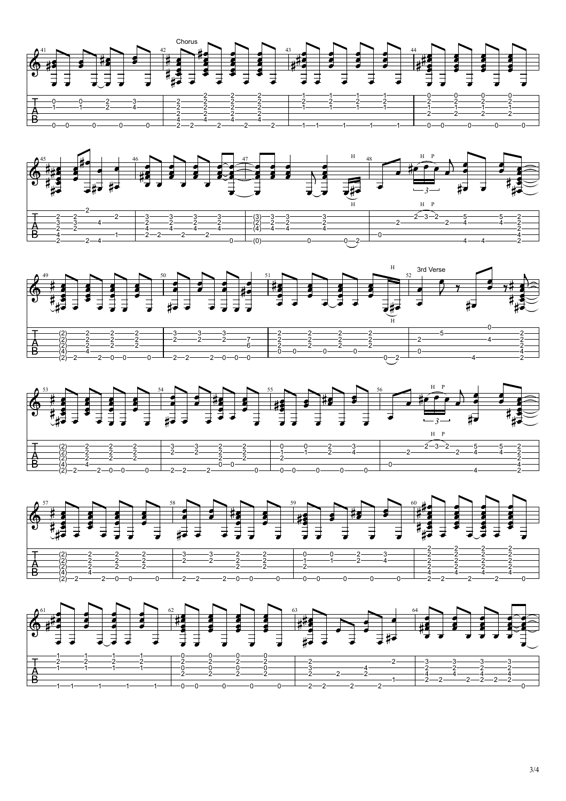

## 3/4